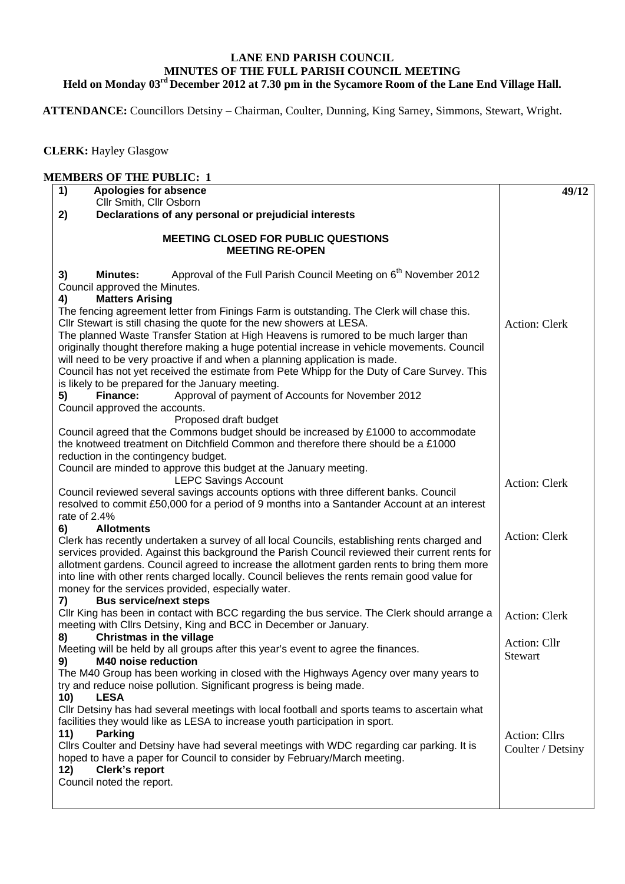## **LANE END PARISH COUNCIL MINUTES OF THE FULL PARISH COUNCIL MEETING Held on Monday 03rd December 2012 at 7.30 pm in the Sycamore Room of the Lane End Village Hall.**

 **ATTENDANCE:** Councillors Detsiny – Chairman, Coulter, Dunning, King Sarney, Simmons, Stewart, Wright.

 **CLERK:** Hayley Glasgow

| 1)<br>Apologies for absence<br>Cllr Smith, Cllr Osborn                                                                                                                                                                                                                                                                                                                                                                                                                                                                                                                                                           | 49/12                              |
|------------------------------------------------------------------------------------------------------------------------------------------------------------------------------------------------------------------------------------------------------------------------------------------------------------------------------------------------------------------------------------------------------------------------------------------------------------------------------------------------------------------------------------------------------------------------------------------------------------------|------------------------------------|
| Declarations of any personal or prejudicial interests<br>2)                                                                                                                                                                                                                                                                                                                                                                                                                                                                                                                                                      |                                    |
| <b>MEETING CLOSED FOR PUBLIC QUESTIONS</b><br><b>MEETING RE-OPEN</b>                                                                                                                                                                                                                                                                                                                                                                                                                                                                                                                                             |                                    |
| Approval of the Full Parish Council Meeting on 6 <sup>th</sup> November 2012<br>3)<br><b>Minutes:</b><br>Council approved the Minutes.<br><b>Matters Arising</b><br>4)<br>The fencing agreement letter from Finings Farm is outstanding. The Clerk will chase this.<br>Cllr Stewart is still chasing the quote for the new showers at LESA.<br>The planned Waste Transfer Station at High Heavens is rumored to be much larger than<br>originally thought therefore making a huge potential increase in vehicle movements. Council<br>will need to be very proactive if and when a planning application is made. | <b>Action: Clerk</b>               |
| Council has not yet received the estimate from Pete Whipp for the Duty of Care Survey. This<br>is likely to be prepared for the January meeting.<br>Finance:<br>Approval of payment of Accounts for November 2012<br>5)<br>Council approved the accounts.<br>Proposed draft budget<br>Council agreed that the Commons budget should be increased by £1000 to accommodate<br>the knotweed treatment on Ditchfield Common and therefore there should be a £1000<br>reduction in the contingency budget.                                                                                                            |                                    |
| Council are minded to approve this budget at the January meeting.<br><b>LEPC Savings Account</b><br>Council reviewed several savings accounts options with three different banks. Council<br>resolved to commit £50,000 for a period of 9 months into a Santander Account at an interest<br>rate of 2.4%                                                                                                                                                                                                                                                                                                         | <b>Action: Clerk</b>               |
| <b>Allotments</b><br>6)<br>Clerk has recently undertaken a survey of all local Councils, establishing rents charged and<br>services provided. Against this background the Parish Council reviewed their current rents for<br>allotment gardens. Council agreed to increase the allotment garden rents to bring them more<br>into line with other rents charged locally. Council believes the rents remain good value for<br>money for the services provided, especially water.<br><b>Bus service/next steps</b><br>7)                                                                                            | <b>Action: Clerk</b>               |
| CIIr King has been in contact with BCC regarding the bus service. The Clerk should arrange a<br>meeting with Cllrs Detsiny, King and BCC in December or January.                                                                                                                                                                                                                                                                                                                                                                                                                                                 | Action: Clerk                      |
| 8)<br><b>Christmas in the village</b><br>Meeting will be held by all groups after this year's event to agree the finances.<br>M40 noise reduction<br>9)<br>The M40 Group has been working in closed with the Highways Agency over many years to<br>try and reduce noise pollution. Significant progress is being made.                                                                                                                                                                                                                                                                                           | Action: Cllr<br>Stewart            |
| <b>LESA</b><br>10)<br>Cllr Detsiny has had several meetings with local football and sports teams to ascertain what<br>facilities they would like as LESA to increase youth participation in sport.<br>11)<br><b>Parking</b><br>CIIrs Coulter and Detsiny have had several meetings with WDC regarding car parking. It is<br>hoped to have a paper for Council to consider by February/March meeting.<br>Clerk's report<br>12)<br>Council noted the report.                                                                                                                                                       | Action: Cllrs<br>Coulter / Detsiny |